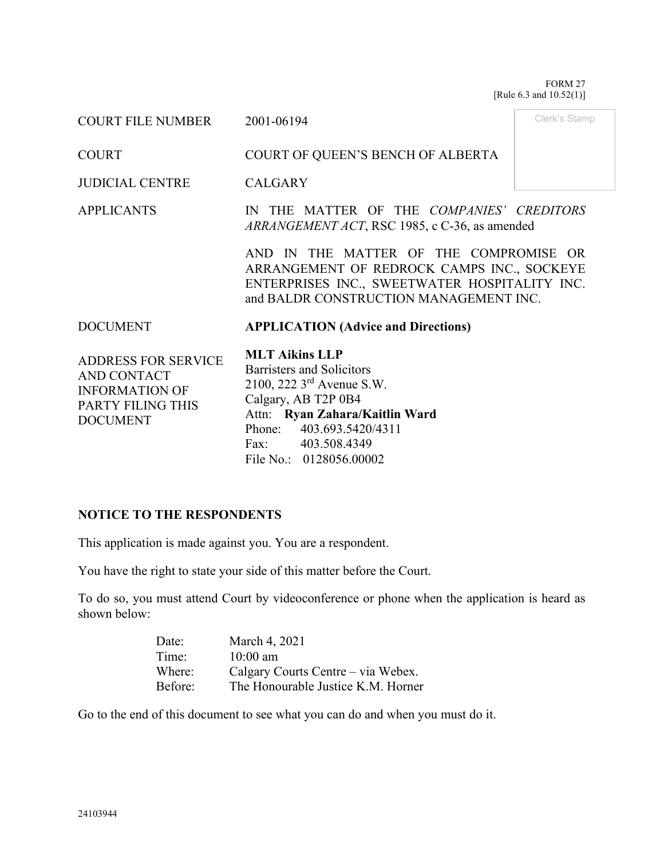FORM 27 [Rule 6.3 and 10.52(1)]

| COURT FILE NUMBER                                                                                          | 2001-06194                                                                                                                                                                                                                       | Clerk's Stamp |  |  |
|------------------------------------------------------------------------------------------------------------|----------------------------------------------------------------------------------------------------------------------------------------------------------------------------------------------------------------------------------|---------------|--|--|
| <b>COURT</b>                                                                                               | COURT OF QUEEN'S BENCH OF ALBERTA                                                                                                                                                                                                |               |  |  |
| <b>JUDICIAL CENTRE</b>                                                                                     | <b>CALGARY</b>                                                                                                                                                                                                                   |               |  |  |
| <b>APPLICANTS</b>                                                                                          | IN THE MATTER OF THE COMPANIES' CREDITORS<br>ARRANGEMENT ACT, RSC 1985, c C-36, as amended                                                                                                                                       |               |  |  |
|                                                                                                            | AND IN THE MATTER OF THE COMPROMISE OR<br>ARRANGEMENT OF REDROCK CAMPS INC., SOCKEYE<br>ENTERPRISES INC., SWEETWATER HOSPITALITY INC.<br>and BALDR CONSTRUCTION MANAGEMENT INC.                                                  |               |  |  |
| <b>DOCUMENT</b>                                                                                            | <b>APPLICATION (Advice and Directions)</b>                                                                                                                                                                                       |               |  |  |
| <b>ADDRESS FOR SERVICE</b><br>AND CONTACT<br><b>INFORMATION OF</b><br>PARTY FILING THIS<br><b>DOCUMENT</b> | <b>MLT Aikins LLP</b><br>Barristers and Solicitors<br>2100, 222 3 <sup>rd</sup> Avenue S.W.<br>Calgary, AB T2P 0B4<br>Attn: Ryan Zahara/Kaitlin Ward<br>Phone: 403.693.5420/4311<br>Fax: 403.508.4349<br>File No.: 0128056.00002 |               |  |  |

# **NOTICE TO THE RESPONDENTS**

This application is made against you. You are a respondent.

You have the right to state your side of this matter before the Court.

To do so, you must attend Court by videoconference or phone when the application is heard as shown below:

| Date:   | March 4, 2021                      |
|---------|------------------------------------|
| Time:   | $10:00$ am                         |
| Where:  | Calgary Courts Centre - via Webex. |
| Before: | The Honourable Justice K.M. Horner |

Go to the end of this document to see what you can do and when you must do it.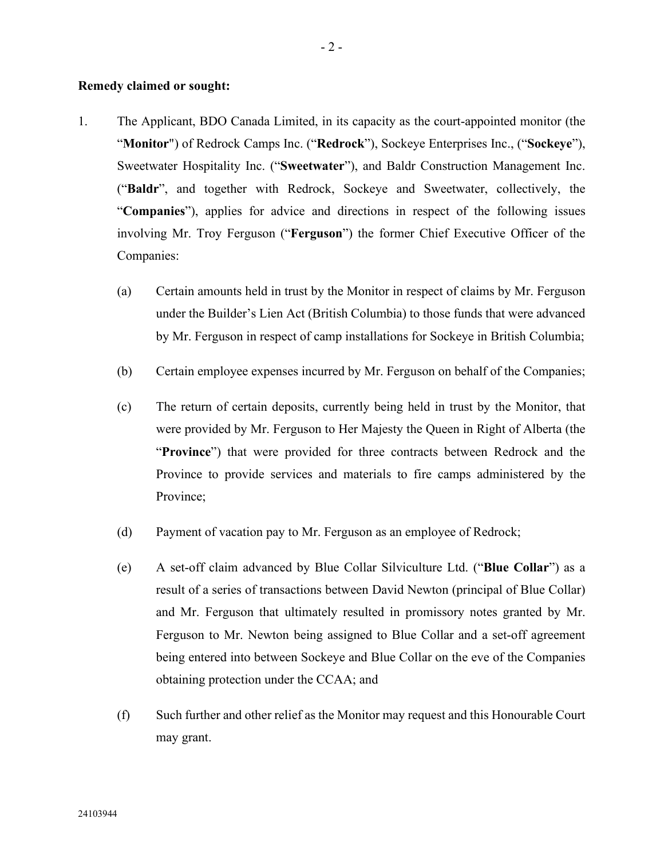#### **Remedy claimed or sought:**

- 1. The Applicant, BDO Canada Limited, in its capacity as the court-appointed monitor (the "**Monitor**") of Redrock Camps Inc. ("**Redrock**"), Sockeye Enterprises Inc., ("**Sockeye**"), Sweetwater Hospitality Inc. ("**Sweetwater**"), and Baldr Construction Management Inc. ("**Baldr**", and together with Redrock, Sockeye and Sweetwater, collectively, the "**Companies**"), applies for advice and directions in respect of the following issues involving Mr. Troy Ferguson ("**Ferguson**") the former Chief Executive Officer of the Companies:
	- (a) Certain amounts held in trust by the Monitor in respect of claims by Mr. Ferguson under the Builder's Lien Act (British Columbia) to those funds that were advanced by Mr. Ferguson in respect of camp installations for Sockeye in British Columbia;
	- (b) Certain employee expenses incurred by Mr. Ferguson on behalf of the Companies;
	- (c) The return of certain deposits, currently being held in trust by the Monitor, that were provided by Mr. Ferguson to Her Majesty the Queen in Right of Alberta (the "**Province**") that were provided for three contracts between Redrock and the Province to provide services and materials to fire camps administered by the Province;
	- (d) Payment of vacation pay to Mr. Ferguson as an employee of Redrock;
	- (e) A set-off claim advanced by Blue Collar Silviculture Ltd. ("**Blue Collar**") as a result of a series of transactions between David Newton (principal of Blue Collar) and Mr. Ferguson that ultimately resulted in promissory notes granted by Mr. Ferguson to Mr. Newton being assigned to Blue Collar and a set-off agreement being entered into between Sockeye and Blue Collar on the eve of the Companies obtaining protection under the CCAA; and
	- (f) Such further and other relief as the Monitor may request and this Honourable Court may grant.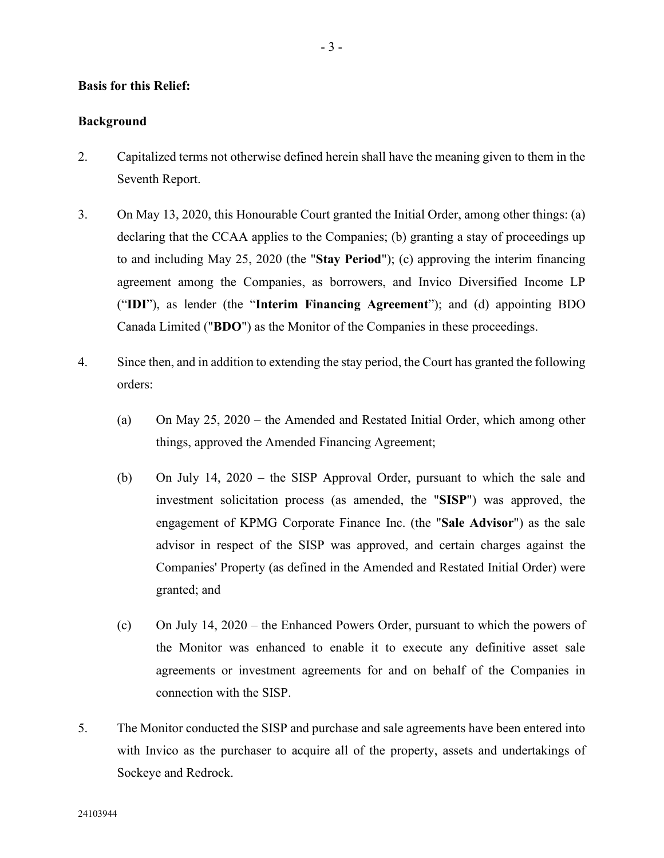### **Basis for this Relief:**

### **Background**

- 2. Capitalized terms not otherwise defined herein shall have the meaning given to them in the Seventh Report.
- 3. On May 13, 2020, this Honourable Court granted the Initial Order, among other things: (a) declaring that the CCAA applies to the Companies; (b) granting a stay of proceedings up to and including May 25, 2020 (the "**Stay Period**"); (c) approving the interim financing agreement among the Companies, as borrowers, and Invico Diversified Income LP ("**IDI**"), as lender (the "**Interim Financing Agreement**"); and (d) appointing BDO Canada Limited ("**BDO**") as the Monitor of the Companies in these proceedings.
- 4. Since then, and in addition to extending the stay period, the Court has granted the following orders:
	- (a) On May 25, 2020 the Amended and Restated Initial Order, which among other things, approved the Amended Financing Agreement;
	- (b) On July 14, 2020 the SISP Approval Order, pursuant to which the sale and investment solicitation process (as amended, the "**SISP**") was approved, the engagement of KPMG Corporate Finance Inc. (the "**Sale Advisor**") as the sale advisor in respect of the SISP was approved, and certain charges against the Companies' Property (as defined in the Amended and Restated Initial Order) were granted; and
	- (c) On July 14, 2020 the Enhanced Powers Order, pursuant to which the powers of the Monitor was enhanced to enable it to execute any definitive asset sale agreements or investment agreements for and on behalf of the Companies in connection with the SISP.
- 5. The Monitor conducted the SISP and purchase and sale agreements have been entered into with Invico as the purchaser to acquire all of the property, assets and undertakings of Sockeye and Redrock.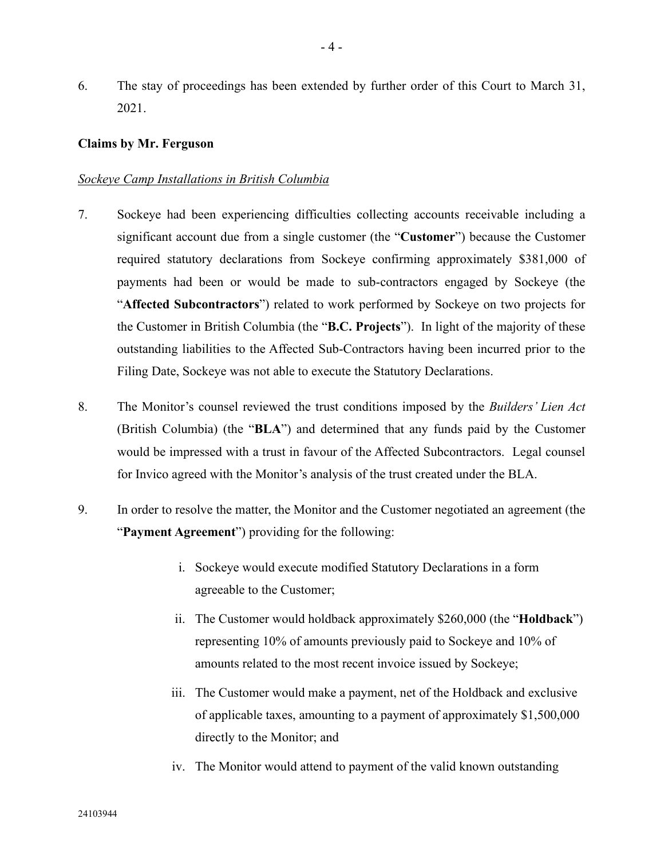6. The stay of proceedings has been extended by further order of this Court to March 31, 2021.

#### **Claims by Mr. Ferguson**

#### *Sockeye Camp Installations in British Columbia*

- 7. Sockeye had been experiencing difficulties collecting accounts receivable including a significant account due from a single customer (the "**Customer**") because the Customer required statutory declarations from Sockeye confirming approximately \$381,000 of payments had been or would be made to sub-contractors engaged by Sockeye (the "**Affected Subcontractors**") related to work performed by Sockeye on two projects for the Customer in British Columbia (the "**B.C. Projects**"). In light of the majority of these outstanding liabilities to the Affected Sub-Contractors having been incurred prior to the Filing Date, Sockeye was not able to execute the Statutory Declarations.
- 8. The Monitor's counsel reviewed the trust conditions imposed by the *Builders' Lien Act* (British Columbia) (the "**BLA**") and determined that any funds paid by the Customer would be impressed with a trust in favour of the Affected Subcontractors. Legal counsel for Invico agreed with the Monitor's analysis of the trust created under the BLA.
- 9. In order to resolve the matter, the Monitor and the Customer negotiated an agreement (the "**Payment Agreement**") providing for the following:
	- i. Sockeye would execute modified Statutory Declarations in a form agreeable to the Customer;
	- ii. The Customer would holdback approximately \$260,000 (the "**Holdback**") representing 10% of amounts previously paid to Sockeye and 10% of amounts related to the most recent invoice issued by Sockeye;
	- iii. The Customer would make a payment, net of the Holdback and exclusive of applicable taxes, amounting to a payment of approximately \$1,500,000 directly to the Monitor; and
	- iv. The Monitor would attend to payment of the valid known outstanding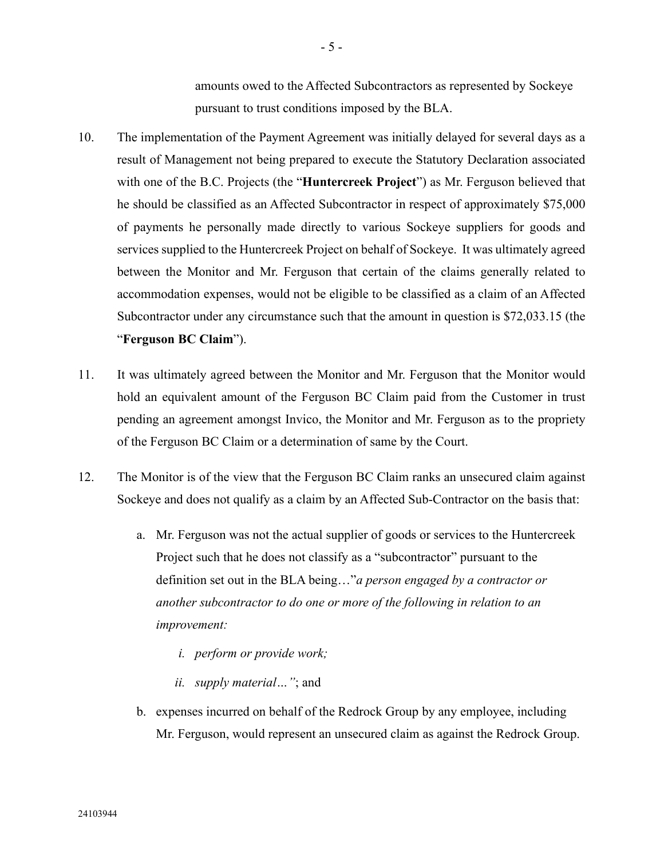amounts owed to the Affected Subcontractors as represented by Sockeye pursuant to trust conditions imposed by the BLA.

- 10. The implementation of the Payment Agreement was initially delayed for several days as a result of Management not being prepared to execute the Statutory Declaration associated with one of the B.C. Projects (the "**Huntercreek Project**") as Mr. Ferguson believed that he should be classified as an Affected Subcontractor in respect of approximately \$75,000 of payments he personally made directly to various Sockeye suppliers for goods and services supplied to the Huntercreek Project on behalf of Sockeye. It was ultimately agreed between the Monitor and Mr. Ferguson that certain of the claims generally related to accommodation expenses, would not be eligible to be classified as a claim of an Affected Subcontractor under any circumstance such that the amount in question is \$72,033.15 (the "**Ferguson BC Claim**").
- 11. It was ultimately agreed between the Monitor and Mr. Ferguson that the Monitor would hold an equivalent amount of the Ferguson BC Claim paid from the Customer in trust pending an agreement amongst Invico, the Monitor and Mr. Ferguson as to the propriety of the Ferguson BC Claim or a determination of same by the Court.
- 12. The Monitor is of the view that the Ferguson BC Claim ranks an unsecured claim against Sockeye and does not qualify as a claim by an Affected Sub-Contractor on the basis that:
	- a. Mr. Ferguson was not the actual supplier of goods or services to the Huntercreek Project such that he does not classify as a "subcontractor" pursuant to the definition set out in the BLA being…"*a person engaged by a contractor or another subcontractor to do one or more of the following in relation to an improvement:*
		- *i. perform or provide work;*
		- *ii. supply material…"*; and
	- b. expenses incurred on behalf of the Redrock Group by any employee, including Mr. Ferguson, would represent an unsecured claim as against the Redrock Group.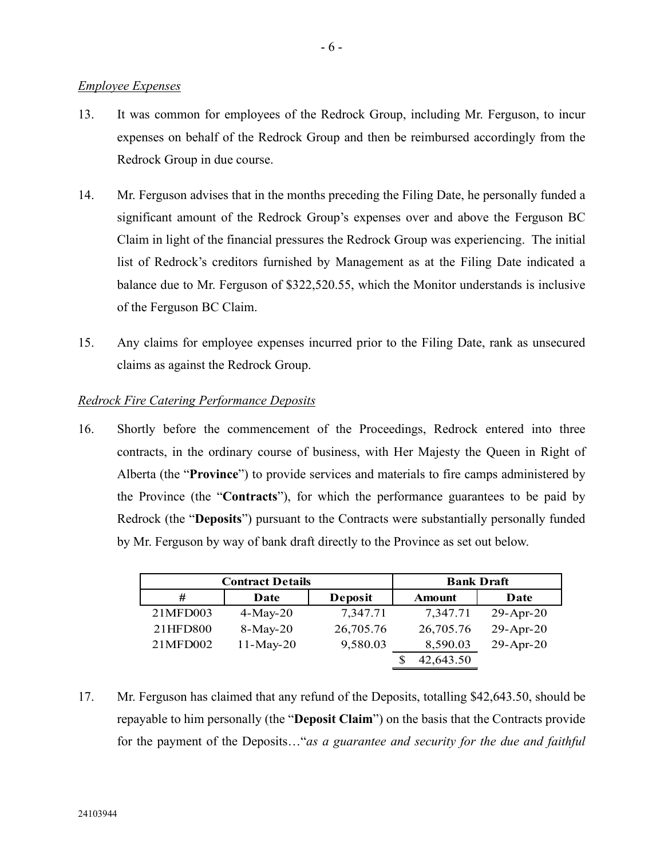#### *Employee Expenses*

- 13. It was common for employees of the Redrock Group, including Mr. Ferguson, to incur expenses on behalf of the Redrock Group and then be reimbursed accordingly from the Redrock Group in due course.
- 14. Mr. Ferguson advises that in the months preceding the Filing Date, he personally funded a significant amount of the Redrock Group's expenses over and above the Ferguson BC Claim in light of the financial pressures the Redrock Group was experiencing. The initial list of Redrock's creditors furnished by Management as at the Filing Date indicated a balance due to Mr. Ferguson of \$322,520.55, which the Monitor understands is inclusive of the Ferguson BC Claim.
- 15. Any claims for employee expenses incurred prior to the Filing Date, rank as unsecured claims as against the Redrock Group.

## *Redrock Fire Catering Performance Deposits*

16. Shortly before the commencement of the Proceedings, Redrock entered into three contracts, in the ordinary course of business, with Her Majesty the Queen in Right of Alberta (the "**Province**") to provide services and materials to fire camps administered by the Province (the "**Contracts**"), for which the performance guarantees to be paid by Redrock (the "**Deposits**") pursuant to the Contracts were substantially personally funded by Mr. Ferguson by way of bank draft directly to the Province as set out below.

| <b>Contract Details</b> |             | <b>Bank Draft</b> |               |                 |
|-------------------------|-------------|-------------------|---------------|-----------------|
| #                       | Date        | Deposit           | <b>Amount</b> | Date            |
| 21MFD003                | $4-May-20$  | 7,347.71          | 7,347.71      | $29$ -Apr- $20$ |
| 21HFD800                | $8-May-20$  | 26,705.76         | 26,705.76     | $29$ -Apr- $20$ |
| 21MFD002                | $11-May-20$ | 9,580.03          | 8,590.03      | $29$ -Apr- $20$ |
|                         |             |                   | 42,643.50     |                 |

17. Mr. Ferguson has claimed that any refund of the Deposits, totalling \$42,643.50, should be repayable to him personally (the "**Deposit Claim**") on the basis that the Contracts provide for the payment of the Deposits…"*as a guarantee and security for the due and faithful*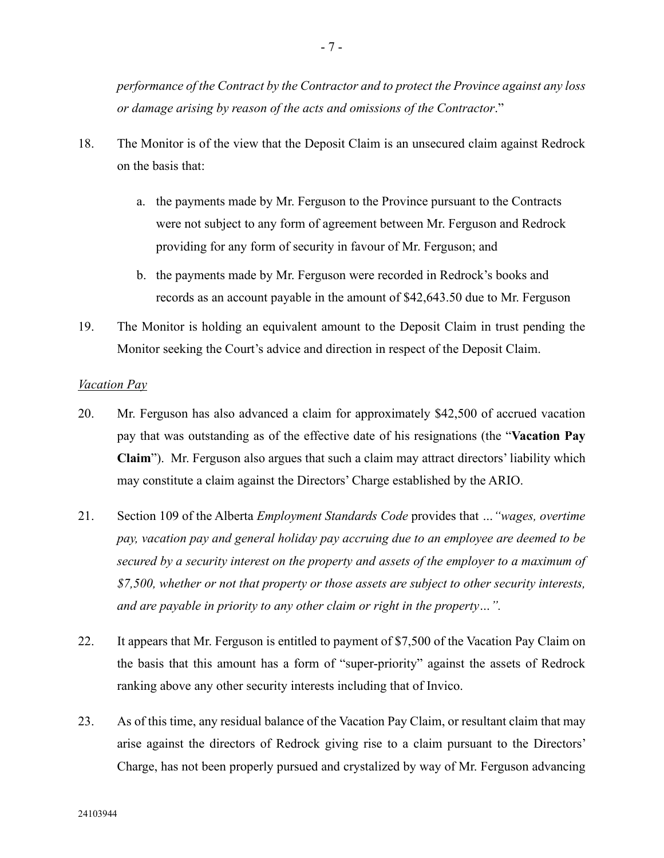*performance of the Contract by the Contractor and to protect the Province against any loss or damage arising by reason of the acts and omissions of the Contractor*."

- 18. The Monitor is of the view that the Deposit Claim is an unsecured claim against Redrock on the basis that:
	- a. the payments made by Mr. Ferguson to the Province pursuant to the Contracts were not subject to any form of agreement between Mr. Ferguson and Redrock providing for any form of security in favour of Mr. Ferguson; and
	- b. the payments made by Mr. Ferguson were recorded in Redrock's books and records as an account payable in the amount of \$42,643.50 due to Mr. Ferguson
- 19. The Monitor is holding an equivalent amount to the Deposit Claim in trust pending the Monitor seeking the Court's advice and direction in respect of the Deposit Claim.

#### *Vacation Pay*

- 20. Mr. Ferguson has also advanced a claim for approximately \$42,500 of accrued vacation pay that was outstanding as of the effective date of his resignations (the "**Vacation Pay Claim**"). Mr. Ferguson also argues that such a claim may attract directors' liability which may constitute a claim against the Directors' Charge established by the ARIO.
- 21. Section 109 of the Alberta *Employment Standards Code* provides that *…"wages, overtime pay, vacation pay and general holiday pay accruing due to an employee are deemed to be secured by a security interest on the property and assets of the employer to a maximum of \$7,500, whether or not that property or those assets are subject to other security interests, and are payable in priority to any other claim or right in the property…".*
- 22. It appears that Mr. Ferguson is entitled to payment of \$7,500 of the Vacation Pay Claim on the basis that this amount has a form of "super-priority" against the assets of Redrock ranking above any other security interests including that of Invico.
- 23. As of this time, any residual balance of the Vacation Pay Claim, or resultant claim that may arise against the directors of Redrock giving rise to a claim pursuant to the Directors' Charge, has not been properly pursued and crystalized by way of Mr. Ferguson advancing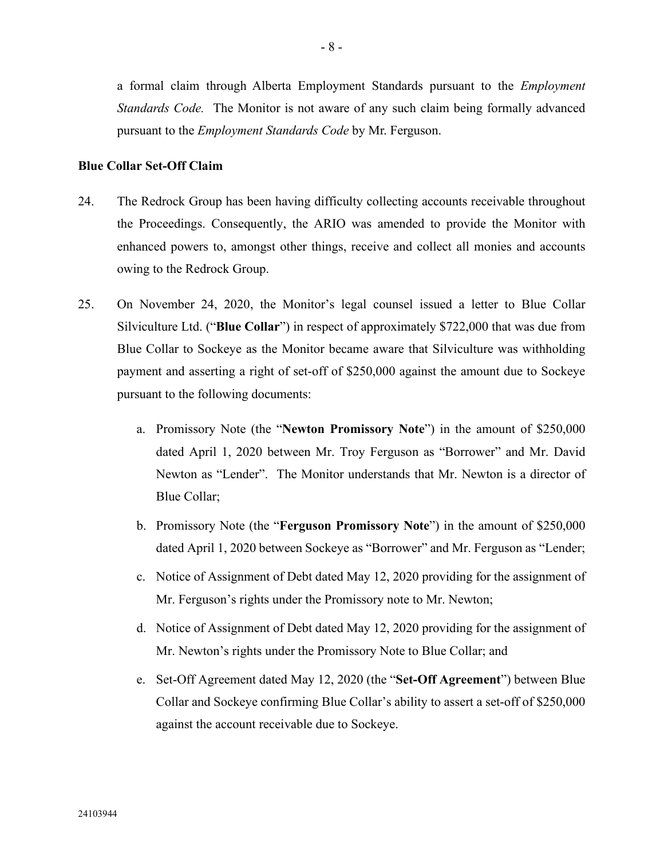a formal claim through Alberta Employment Standards pursuant to the *Employment Standards Code.* The Monitor is not aware of any such claim being formally advanced pursuant to the *Employment Standards Code* by Mr. Ferguson.

#### **Blue Collar Set-Off Claim**

- 24. The Redrock Group has been having difficulty collecting accounts receivable throughout the Proceedings. Consequently, the ARIO was amended to provide the Monitor with enhanced powers to, amongst other things, receive and collect all monies and accounts owing to the Redrock Group.
- 25. On November 24, 2020, the Monitor's legal counsel issued a letter to Blue Collar Silviculture Ltd. ("**Blue Collar**") in respect of approximately \$722,000 that was due from Blue Collar to Sockeye as the Monitor became aware that Silviculture was withholding payment and asserting a right of set-off of \$250,000 against the amount due to Sockeye pursuant to the following documents:
	- a. Promissory Note (the "**Newton Promissory Note**") in the amount of \$250,000 dated April 1, 2020 between Mr. Troy Ferguson as "Borrower" and Mr. David Newton as "Lender". The Monitor understands that Mr. Newton is a director of Blue Collar;
	- b. Promissory Note (the "**Ferguson Promissory Note**") in the amount of \$250,000 dated April 1, 2020 between Sockeye as "Borrower" and Mr. Ferguson as "Lender;
	- c. Notice of Assignment of Debt dated May 12, 2020 providing for the assignment of Mr. Ferguson's rights under the Promissory note to Mr. Newton;
	- d. Notice of Assignment of Debt dated May 12, 2020 providing for the assignment of Mr. Newton's rights under the Promissory Note to Blue Collar; and
	- e. Set-Off Agreement dated May 12, 2020 (the "**Set-Off Agreement**") between Blue Collar and Sockeye confirming Blue Collar's ability to assert a set-off of \$250,000 against the account receivable due to Sockeye.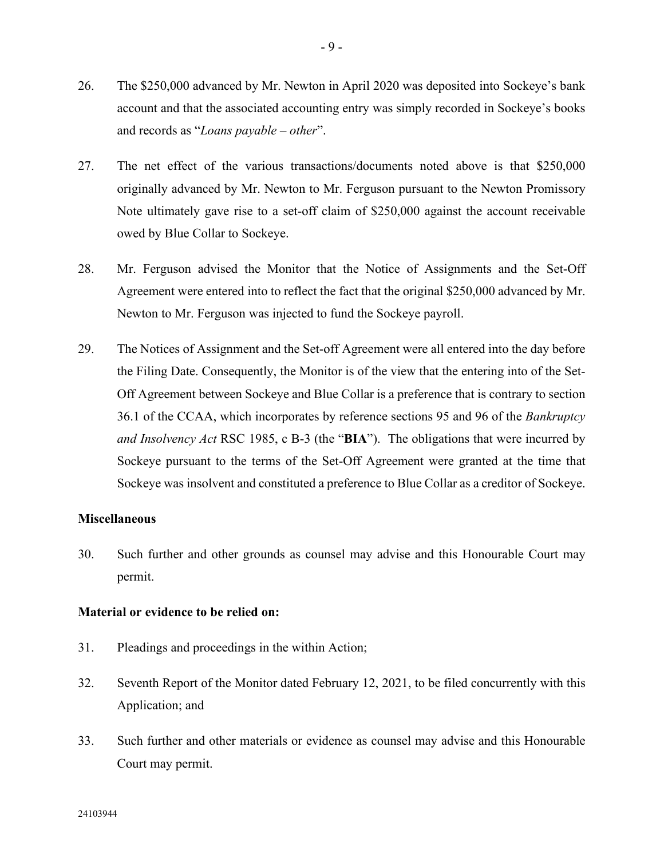- 26. The \$250,000 advanced by Mr. Newton in April 2020 was deposited into Sockeye's bank account and that the associated accounting entry was simply recorded in Sockeye's books and records as "*Loans payable – other*".
- 27. The net effect of the various transactions/documents noted above is that \$250,000 originally advanced by Mr. Newton to Mr. Ferguson pursuant to the Newton Promissory Note ultimately gave rise to a set-off claim of \$250,000 against the account receivable owed by Blue Collar to Sockeye.
- 28. Mr. Ferguson advised the Monitor that the Notice of Assignments and the Set-Off Agreement were entered into to reflect the fact that the original \$250,000 advanced by Mr. Newton to Mr. Ferguson was injected to fund the Sockeye payroll.
- 29. The Notices of Assignment and the Set-off Agreement were all entered into the day before the Filing Date. Consequently, the Monitor is of the view that the entering into of the Set-Off Agreement between Sockeye and Blue Collar is a preference that is contrary to section 36.1 of the CCAA, which incorporates by reference sections 95 and 96 of the *Bankruptcy and Insolvency Act* RSC 1985, c B-3 (the "**BIA**"). The obligations that were incurred by Sockeye pursuant to the terms of the Set-Off Agreement were granted at the time that Sockeye was insolvent and constituted a preference to Blue Collar as a creditor of Sockeye.

#### **Miscellaneous**

30. Such further and other grounds as counsel may advise and this Honourable Court may permit.

#### **Material or evidence to be relied on:**

- 31. Pleadings and proceedings in the within Action;
- 32. Seventh Report of the Monitor dated February 12, 2021, to be filed concurrently with this Application; and
- 33. Such further and other materials or evidence as counsel may advise and this Honourable Court may permit.